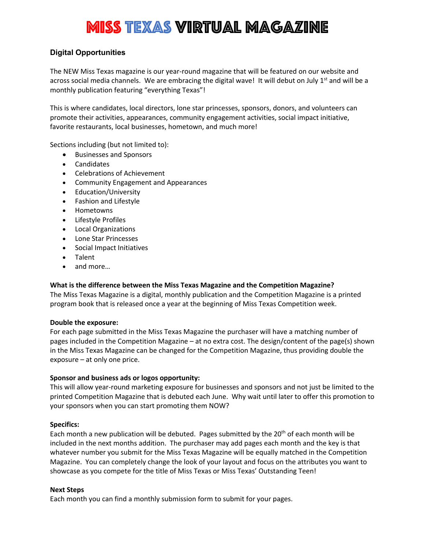# Miss Texas Virtual Magazine

## **Digital Opportunities**

The NEW Miss Texas magazine is our year-round magazine that will be featured on our website and across social media channels. We are embracing the digital wave! It will debut on July 1<sup>st</sup> and will be a monthly publication featuring "everything Texas"!

This is where candidates, local directors, lone star princesses, sponsors, donors, and volunteers can promote their activities, appearances, community engagement activities, social impact initiative, favorite restaurants, local businesses, hometown, and much more!

Sections including (but not limited to):

- Businesses and Sponsors
- Candidates
- Celebrations of Achievement
- Community Engagement and Appearances
- Education/University
- Fashion and Lifestyle
- Hometowns
- Lifestyle Profiles
- Local Organizations
- Lone Star Princesses
- Social Impact Initiatives
- Talent
- and more…

#### **What is the difference between the Miss Texas Magazine and the Competition Magazine?**

The Miss Texas Magazine is a digital, monthly publication and the Competition Magazine is a printed program book that is released once a year at the beginning of Miss Texas Competition week.

#### **Double the exposure:**

For each page submitted in the Miss Texas Magazine the purchaser will have a matching number of pages included in the Competition Magazine – at no extra cost. The design/content of the page(s) shown in the Miss Texas Magazine can be changed for the Competition Magazine, thus providing double the exposure – at only one price.

#### **Sponsor and business ads or logos opportunity:**

This will allow year-round marketing exposure for businesses and sponsors and not just be limited to the printed Competition Magazine that is debuted each June. Why wait until later to offer this promotion to your sponsors when you can start promoting them NOW?

#### **Specifics:**

Each month a new publication will be debuted. Pages submitted by the  $20<sup>th</sup>$  of each month will be included in the next months addition. The purchaser may add pages each month and the key is that whatever number you submit for the Miss Texas Magazine will be equally matched in the Competition Magazine. You can completely change the look of your layout and focus on the attributes you want to showcase as you compete for the title of Miss Texas or Miss Texas' Outstanding Teen!

#### **Next Steps**

Each month you can find a monthly submission form to submit for your pages.